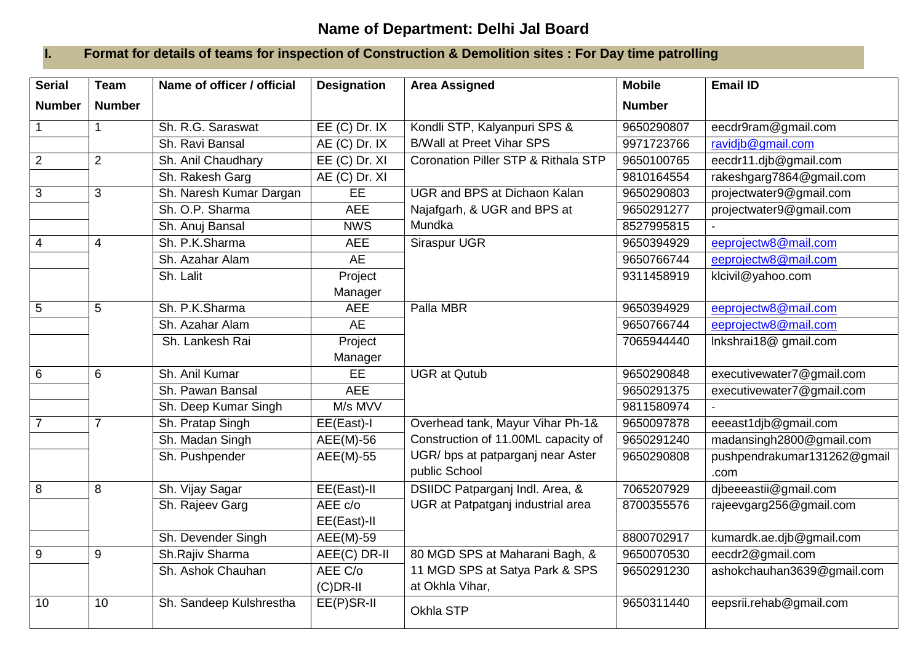## **Name of Department: Delhi Jal Board**

## **I. Format for details of teams for inspection of Construction & Demolition sites : For Day time patrolling**

| <b>Serial</b>   | <b>Team</b>    | Name of officer / official | <b>Designation</b> | <b>Area Assigned</b>                           | <b>Mobile</b> | <b>Email ID</b>             |
|-----------------|----------------|----------------------------|--------------------|------------------------------------------------|---------------|-----------------------------|
| <b>Number</b>   | <b>Number</b>  |                            |                    |                                                | <b>Number</b> |                             |
| $\overline{1}$  |                | Sh. R.G. Saraswat          | $EE$ (C) Dr. IX    | Kondli STP, Kalyanpuri SPS &                   | 9650290807    | eecdr9ram@gmail.com         |
|                 |                | Sh. Ravi Bansal            | AE (C) Dr. IX      | <b>B/Wall at Preet Vihar SPS</b>               | 9971723766    | ravidjb@gmail.com           |
| $\overline{2}$  | 2              | Sh. Anil Chaudhary         | $EE$ (C) Dr. XI    | <b>Coronation Piller STP &amp; Rithala STP</b> | 9650100765    | eecdr11.djb@gmail.com       |
|                 |                | Sh. Rakesh Garg            | AE (C) Dr. XI      |                                                | 9810164554    | rakeshgarg7864@gmail.com    |
| $\mathbf{3}$    | 3              | Sh. Naresh Kumar Dargan    | EE                 | <b>UGR and BPS at Dichaon Kalan</b>            | 9650290803    | projectwater9@gmail.com     |
|                 |                | Sh. O.P. Sharma            | <b>AEE</b>         | Najafgarh, & UGR and BPS at                    | 9650291277    | projectwater9@gmail.com     |
|                 |                | Sh. Anuj Bansal            | <b>NWS</b>         | Mundka                                         | 8527995815    |                             |
| $\overline{4}$  | $\overline{4}$ | Sh. P.K.Sharma             | <b>AEE</b>         | Siraspur UGR                                   | 9650394929    | eeprojectw8@mail.com        |
|                 |                | Sh. Azahar Alam            | <b>AE</b>          |                                                | 9650766744    | eeprojectw8@mail.com        |
|                 |                | Sh. Lalit                  | Project            |                                                | 9311458919    | klcivil@yahoo.com           |
|                 |                |                            | Manager            |                                                |               |                             |
| $5\overline{)}$ | 5              | Sh. P.K.Sharma             | <b>AEE</b>         | Palla MBR                                      | 9650394929    | eeprojectw8@mail.com        |
|                 |                | Sh. Azahar Alam            | <b>AE</b>          |                                                | 9650766744    | eeprojectw8@mail.com        |
|                 |                | Sh. Lankesh Rai            | Project            |                                                | 7065944440    | Inkshrai18@ gmail.com       |
|                 |                |                            | Manager            |                                                |               |                             |
| 6               | 6              | Sh. Anil Kumar             | EE                 | <b>UGR at Qutub</b>                            | 9650290848    | executivewater7@gmail.com   |
|                 |                | Sh. Pawan Bansal           | <b>AEE</b>         |                                                | 9650291375    | executivewater7@gmail.com   |
|                 |                | Sh. Deep Kumar Singh       | M/s MVV            |                                                | 9811580974    |                             |
| $\overline{7}$  | $\overline{7}$ | Sh. Pratap Singh           | EE(East)-I         | Overhead tank, Mayur Vihar Ph-1&               | 9650097878    | eeeast1djb@gmail.com        |
|                 |                | Sh. Madan Singh            | $AEE(M)-56$        | Construction of 11.00ML capacity of            | 9650291240    | madansingh2800@gmail.com    |
|                 |                | Sh. Pushpender             | AEE(M)-55          | UGR/ bps at patparganj near Aster              | 9650290808    | pushpendrakumar131262@gmail |
|                 |                |                            |                    | public School                                  |               | .com                        |
| $\overline{8}$  | 8              | Sh. Vijay Sagar            | EE(East)-II        | DSIIDC Patparganj Indl. Area, &                | 7065207929    | dibeeeastii@gmail.com       |
|                 |                | Sh. Rajeev Garg            | AEE c/o            | UGR at Patpatganj industrial area              | 8700355576    | rajeevgarg256@gmail.com     |
|                 |                |                            | EE(East)-II        |                                                |               |                             |
|                 |                | Sh. Devender Singh         | <b>AEE(M)-59</b>   |                                                | 8800702917    | kumardk.ae.djb@gmail.com    |
| $\overline{9}$  | 9              | Sh.Rajiv Sharma            | AEE(C) DR-II       | 80 MGD SPS at Maharani Bagh, &                 | 9650070530    | eecdr2@gmail.com            |
|                 |                | Sh. Ashok Chauhan          | AEE C/o            | 11 MGD SPS at Satya Park & SPS                 | 9650291230    | ashokchauhan3639@gmail.com  |
|                 |                |                            | $(C)$ DR-II        | at Okhla Vihar,                                |               |                             |
| 10              | 10             | Sh. Sandeep Kulshrestha    | EE(P)SR-II         | Okhla STP                                      | 9650311440    | eepsrii.rehab@gmail.com     |